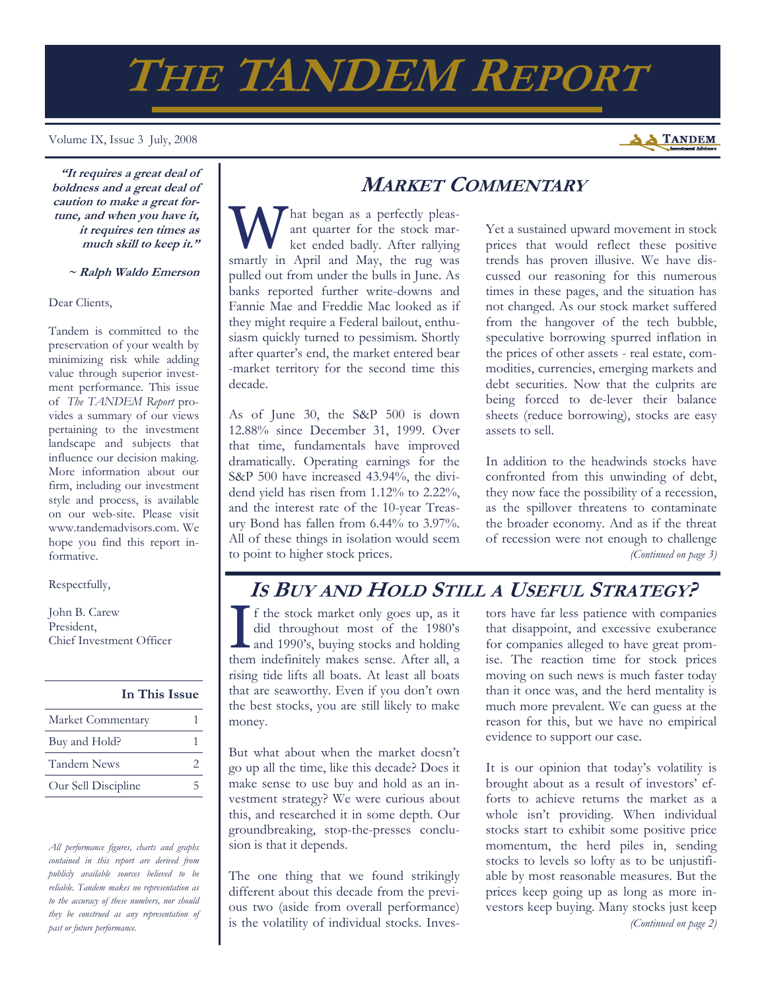# **THE TANDEM REPORT**

#### Volume IX, Issue 3 July, 2008

**"It requires a great deal of boldness and a great deal of caution to make a great fortune, and when you have it, it requires ten times as much skill to keep it."** 

 **~ Ralph Waldo Emerson**

#### Dear Clients,

Tandem is committed to the preservation of your wealth by minimizing risk while adding value through superior investment performance. This issue of *The TANDEM Report* provides a summary of our views pertaining to the investment landscape and subjects that influence our decision making. More information about our firm, including our investment style and process, is available on our web-site. Please visit www.tandemadvisors.com. We hope you find this report informative.

Respectfully,

John B. Carew President, Chief Investment Officer

**In This Issue**

| Market Commentary   |  |
|---------------------|--|
| Buy and Hold?       |  |
| <b>Tandem News</b>  |  |
| Our Sell Discipline |  |

*All performance figures, charts and graphs contained in this report are derived from publicly available sources believed to be reliable. Tandem makes no representation as to the accuracy of these numbers, nor should they be construed as any representation of past or future performance.* 

## **MARKET COMMENTARY**

hat began as a perfectly pleasant quarter for the stock market ended badly. After rallying smartly in April and May, the rug was pulled out from under the bulls in June. As banks reported further write-downs and Fannie Mae and Freddie Mac looked as if they might require a Federal bailout, enthusiasm quickly turned to pessimism. Shortly after quarter's end, the market entered bear -market territory for the second time this decade.

As of June 30, the S&P 500 is down 12.88% since December 31, 1999. Over that time, fundamentals have improved dramatically. Operating earnings for the S&P 500 have increased 43.94%, the dividend yield has risen from 1.12% to 2.22%, and the interest rate of the 10-year Treasury Bond has fallen from 6.44% to 3.97%. All of these things in isolation would seem to point to higher stock prices.

Yet a sustained upward movement in stock prices that would reflect these positive trends has proven illusive. We have discussed our reasoning for this numerous times in these pages, and the situation has not changed. As our stock market suffered from the hangover of the tech bubble, speculative borrowing spurred inflation in the prices of other assets - real estate, commodities, currencies, emerging markets and debt securities. Now that the culprits are being forced to de-lever their balance sheets (reduce borrowing), stocks are easy assets to sell.

In addition to the headwinds stocks have confronted from this unwinding of debt, they now face the possibility of a recession, as the spillover threatens to contaminate the broader economy. And as if the threat of recession were not enough to challenge *(Continued on page 3)* 

## **IS BUY AND HOLD STILL A USEFUL STRATEGY?**

I f the stock market only goes up, as it<br>did throughout most of the 1980's<br>and 1990's, buying stocks and holding<br>them indefinitely makes some After all did throughout most of the 1980's and 1990's, buying stocks and holding them indefinitely makes sense. After all, a rising tide lifts all boats. At least all boats that are seaworthy. Even if you don't own the best stocks, you are still likely to make money.

But what about when the market doesn't go up all the time, like this decade? Does it make sense to use buy and hold as an investment strategy? We were curious about this, and researched it in some depth. Our groundbreaking, stop-the-presses conclusion is that it depends.

The one thing that we found strikingly different about this decade from the previous two (aside from overall performance) is the volatility of individual stocks. Investors have far less patience with companies that disappoint, and excessive exuberance for companies alleged to have great promise. The reaction time for stock prices moving on such news is much faster today than it once was, and the herd mentality is much more prevalent. We can guess at the reason for this, but we have no empirical evidence to support our case.

It is our opinion that today's volatility is brought about as a result of investors' efforts to achieve returns the market as a whole isn't providing. When individual stocks start to exhibit some positive price momentum, the herd piles in, sending stocks to levels so lofty as to be unjustifiable by most reasonable measures. But the prices keep going up as long as more investors keep buying. Many stocks just keep *(Continued on page 2)* 

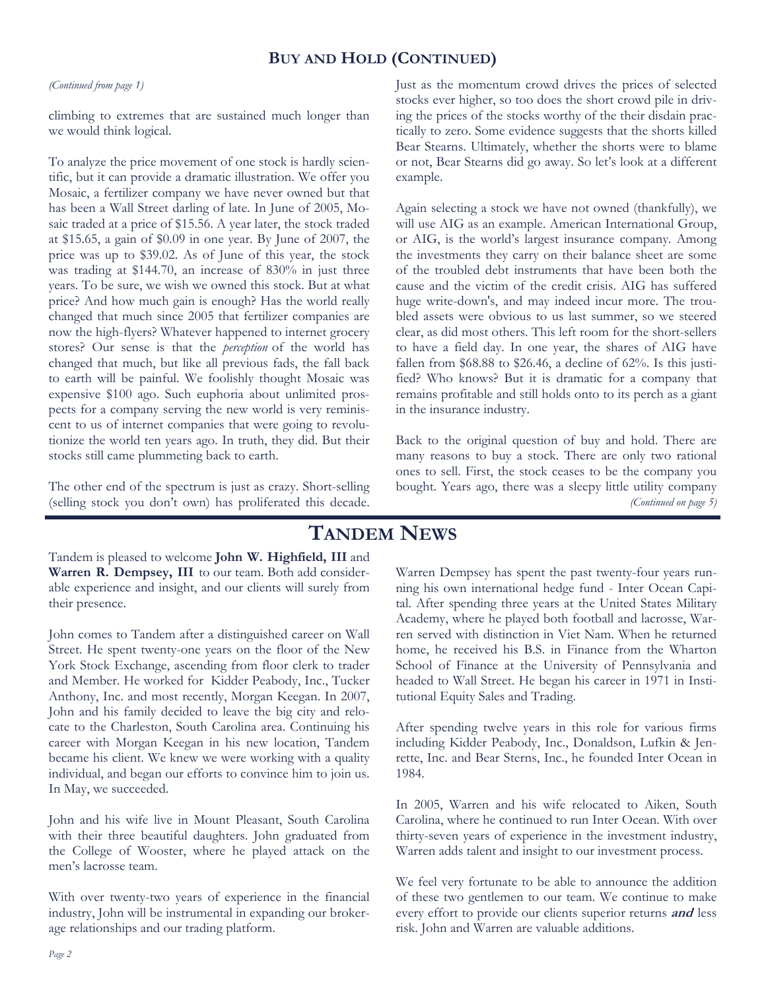## **BUY AND HOLD (CONTINUED)**

#### *(Continued from page 1)*

climbing to extremes that are sustained much longer than we would think logical.

To analyze the price movement of one stock is hardly scientific, but it can provide a dramatic illustration. We offer you Mosaic, a fertilizer company we have never owned but that has been a Wall Street darling of late. In June of 2005, Mosaic traded at a price of \$15.56. A year later, the stock traded at \$15.65, a gain of \$0.09 in one year. By June of 2007, the price was up to \$39.02. As of June of this year, the stock was trading at \$144.70, an increase of 830% in just three years. To be sure, we wish we owned this stock. But at what price? And how much gain is enough? Has the world really changed that much since 2005 that fertilizer companies are now the high-flyers? Whatever happened to internet grocery stores? Our sense is that the *perception* of the world has changed that much, but like all previous fads, the fall back to earth will be painful. We foolishly thought Mosaic was expensive \$100 ago. Such euphoria about unlimited prospects for a company serving the new world is very reminiscent to us of internet companies that were going to revolutionize the world ten years ago. In truth, they did. But their stocks still came plummeting back to earth.

The other end of the spectrum is just as crazy. Short-selling (selling stock you don't own) has proliferated this decade.

Just as the momentum crowd drives the prices of selected stocks ever higher, so too does the short crowd pile in driving the prices of the stocks worthy of the their disdain practically to zero. Some evidence suggests that the shorts killed Bear Stearns. Ultimately, whether the shorts were to blame or not, Bear Stearns did go away. So let's look at a different example.

Again selecting a stock we have not owned (thankfully), we will use AIG as an example. American International Group, or AIG, is the world's largest insurance company. Among the investments they carry on their balance sheet are some of the troubled debt instruments that have been both the cause and the victim of the credit crisis. AIG has suffered huge write-down's, and may indeed incur more. The troubled assets were obvious to us last summer, so we steered clear, as did most others. This left room for the short-sellers to have a field day. In one year, the shares of AIG have fallen from \$68.88 to \$26.46, a decline of 62%. Is this justified? Who knows? But it is dramatic for a company that remains profitable and still holds onto to its perch as a giant in the insurance industry.

Back to the original question of buy and hold. There are many reasons to buy a stock. There are only two rational ones to sell. First, the stock ceases to be the company you bought. Years ago, there was a sleepy little utility company *(Continued on page 5)* 

## **TANDEM NEWS**

Tandem is pleased to welcome **John W. Highfield, III** and **Warren R. Dempsey, III** to our team. Both add considerable experience and insight, and our clients will surely from their presence.

John comes to Tandem after a distinguished career on Wall Street. He spent twenty-one years on the floor of the New York Stock Exchange, ascending from floor clerk to trader and Member. He worked for Kidder Peabody, Inc., Tucker Anthony, Inc. and most recently, Morgan Keegan. In 2007, John and his family decided to leave the big city and relocate to the Charleston, South Carolina area. Continuing his career with Morgan Keegan in his new location, Tandem became his client. We knew we were working with a quality individual, and began our efforts to convince him to join us. In May, we succeeded.

John and his wife live in Mount Pleasant, South Carolina with their three beautiful daughters. John graduated from the College of Wooster, where he played attack on the men's lacrosse team.

With over twenty-two years of experience in the financial industry, John will be instrumental in expanding our brokerage relationships and our trading platform.

Warren Dempsey has spent the past twenty-four years running his own international hedge fund - Inter Ocean Capital. After spending three years at the United States Military Academy, where he played both football and lacrosse, Warren served with distinction in Viet Nam. When he returned home, he received his B.S. in Finance from the Wharton School of Finance at the University of Pennsylvania and headed to Wall Street. He began his career in 1971 in Institutional Equity Sales and Trading.

After spending twelve years in this role for various firms including Kidder Peabody, Inc., Donaldson, Lufkin & Jenrette, Inc. and Bear Sterns, Inc., he founded Inter Ocean in 1984.

In 2005, Warren and his wife relocated to Aiken, South Carolina, where he continued to run Inter Ocean. With over thirty-seven years of experience in the investment industry, Warren adds talent and insight to our investment process.

We feel very fortunate to be able to announce the addition of these two gentlemen to our team. We continue to make every effort to provide our clients superior returns **and** less risk. John and Warren are valuable additions.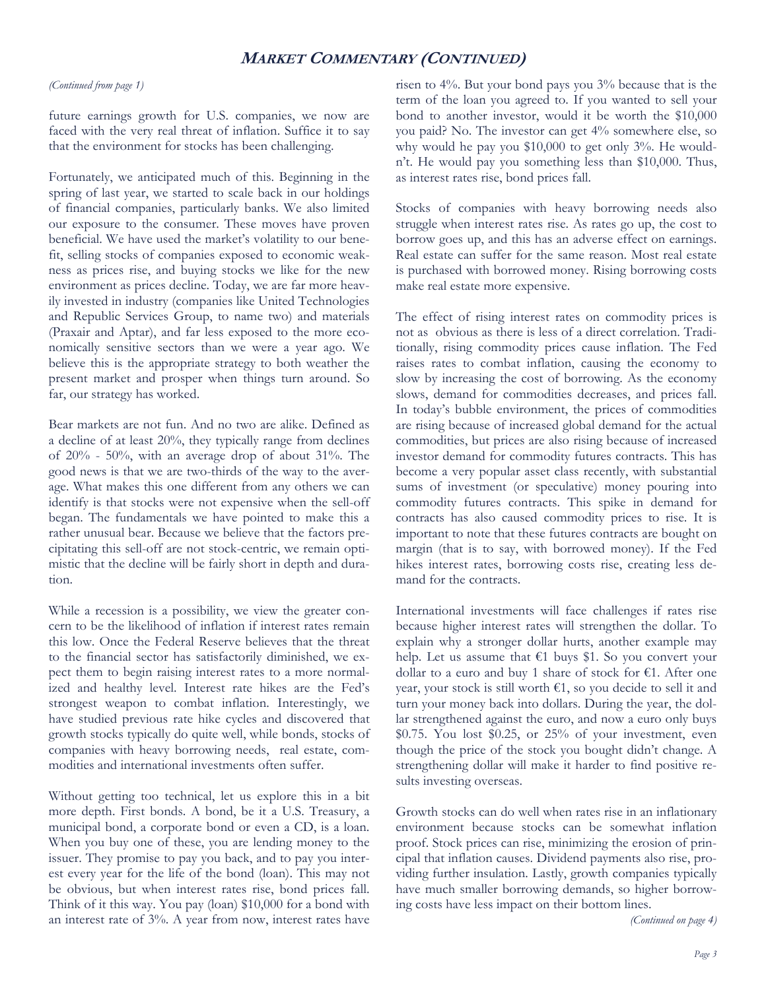## **MARKET COMMENTARY (CONTINUED)**

#### *(Continued from page 1)*

future earnings growth for U.S. companies, we now are faced with the very real threat of inflation. Suffice it to say that the environment for stocks has been challenging.

Fortunately, we anticipated much of this. Beginning in the spring of last year, we started to scale back in our holdings of financial companies, particularly banks. We also limited our exposure to the consumer. These moves have proven beneficial. We have used the market's volatility to our benefit, selling stocks of companies exposed to economic weakness as prices rise, and buying stocks we like for the new environment as prices decline. Today, we are far more heavily invested in industry (companies like United Technologies and Republic Services Group, to name two) and materials (Praxair and Aptar), and far less exposed to the more economically sensitive sectors than we were a year ago. We believe this is the appropriate strategy to both weather the present market and prosper when things turn around. So far, our strategy has worked.

Bear markets are not fun. And no two are alike. Defined as a decline of at least 20%, they typically range from declines of 20% - 50%, with an average drop of about 31%. The good news is that we are two-thirds of the way to the average. What makes this one different from any others we can identify is that stocks were not expensive when the sell-off began. The fundamentals we have pointed to make this a rather unusual bear. Because we believe that the factors precipitating this sell-off are not stock-centric, we remain optimistic that the decline will be fairly short in depth and duration.

While a recession is a possibility, we view the greater concern to be the likelihood of inflation if interest rates remain this low. Once the Federal Reserve believes that the threat to the financial sector has satisfactorily diminished, we expect them to begin raising interest rates to a more normalized and healthy level. Interest rate hikes are the Fed's strongest weapon to combat inflation. Interestingly, we have studied previous rate hike cycles and discovered that growth stocks typically do quite well, while bonds, stocks of companies with heavy borrowing needs, real estate, commodities and international investments often suffer.

Without getting too technical, let us explore this in a bit more depth. First bonds. A bond, be it a U.S. Treasury, a municipal bond, a corporate bond or even a CD, is a loan. When you buy one of these, you are lending money to the issuer. They promise to pay you back, and to pay you interest every year for the life of the bond (loan). This may not be obvious, but when interest rates rise, bond prices fall. Think of it this way. You pay (loan) \$10,000 for a bond with an interest rate of 3%. A year from now, interest rates have

risen to 4%. But your bond pays you 3% because that is the term of the loan you agreed to. If you wanted to sell your bond to another investor, would it be worth the \$10,000 you paid? No. The investor can get 4% somewhere else, so why would he pay you \$10,000 to get only 3%. He wouldn't. He would pay you something less than \$10,000. Thus, as interest rates rise, bond prices fall.

Stocks of companies with heavy borrowing needs also struggle when interest rates rise. As rates go up, the cost to borrow goes up, and this has an adverse effect on earnings. Real estate can suffer for the same reason. Most real estate is purchased with borrowed money. Rising borrowing costs make real estate more expensive.

The effect of rising interest rates on commodity prices is not as obvious as there is less of a direct correlation. Traditionally, rising commodity prices cause inflation. The Fed raises rates to combat inflation, causing the economy to slow by increasing the cost of borrowing. As the economy slows, demand for commodities decreases, and prices fall. In today's bubble environment, the prices of commodities are rising because of increased global demand for the actual commodities, but prices are also rising because of increased investor demand for commodity futures contracts. This has become a very popular asset class recently, with substantial sums of investment (or speculative) money pouring into commodity futures contracts. This spike in demand for contracts has also caused commodity prices to rise. It is important to note that these futures contracts are bought on margin (that is to say, with borrowed money). If the Fed hikes interest rates, borrowing costs rise, creating less demand for the contracts.

International investments will face challenges if rates rise because higher interest rates will strengthen the dollar. To explain why a stronger dollar hurts, another example may help. Let us assume that  $€1$  buys \$1. So you convert your dollar to a euro and buy 1 share of stock for  $\epsilon$ 1. After one year, your stock is still worth  $\epsilon$ 1, so you decide to sell it and turn your money back into dollars. During the year, the dollar strengthened against the euro, and now a euro only buys  $$0.75.$  You lost  $$0.25$ , or  $25\%$  of your investment, even though the price of the stock you bought didn't change. A strengthening dollar will make it harder to find positive results investing overseas.

Growth stocks can do well when rates rise in an inflationary environment because stocks can be somewhat inflation proof. Stock prices can rise, minimizing the erosion of principal that inflation causes. Dividend payments also rise, providing further insulation. Lastly, growth companies typically have much smaller borrowing demands, so higher borrowing costs have less impact on their bottom lines.

*(Continued on page 4)*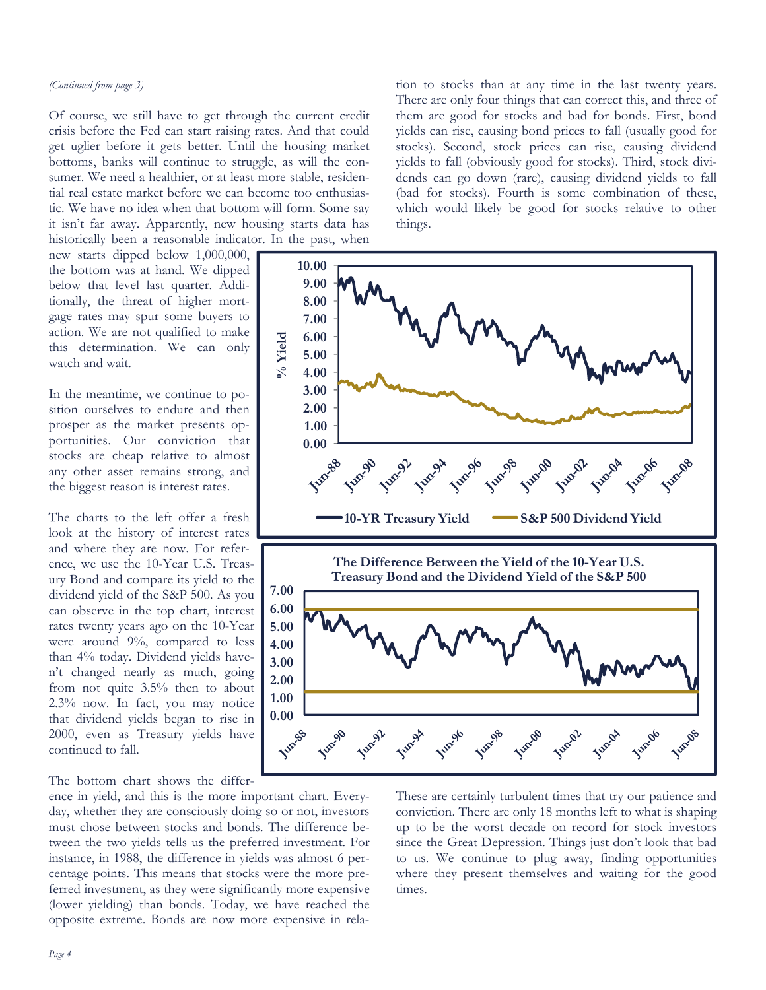Of course, we still have to get through the current credit crisis before the Fed can start raising rates. And that could get uglier before it gets better. Until the housing market bottoms, banks will continue to struggle, as will the consumer. We need a healthier, or at least more stable, residential real estate market before we can become too enthusiastic. We have no idea when that bottom will form. Some say it isn't far away. Apparently, new housing starts data has historically been a reasonable indicator. In the past, when

new starts dipped below 1,000,000, the bottom was at hand. We dipped below that level last quarter. Additionally, the threat of higher mortgage rates may spur some buyers to action. We are not qualified to make this determination. We can only watch and wait.

In the meantime, we continue to position ourselves to endure and then prosper as the market presents opportunities. Our conviction that stocks are cheap relative to almost any other asset remains strong, and the biggest reason is interest rates.

The charts to the left offer a fresh look at the history of interest rates and where they are now. For reference, we use the 10-Year U.S. Treasury Bond and compare its yield to the dividend yield of the S&P 500. As you can observe in the top chart, interest rates twenty years ago on the 10-Year were around 9%, compared to less than 4% today. Dividend yields haven't changed nearly as much, going from not quite 3.5% then to about 2.3% now. In fact, you may notice that dividend yields began to rise in 2000, even as Treasury yields have continued to fall.

The bottom chart shows the differ-

ence in yield, and this is the more important chart. Everyday, whether they are consciously doing so or not, investors must chose between stocks and bonds. The difference between the two yields tells us the preferred investment. For instance, in 1988, the difference in yields was almost 6 percentage points. This means that stocks were the more preferred investment, as they were significantly more expensive (lower yielding) than bonds. Today, we have reached the opposite extreme. Bonds are now more expensive in relation to stocks than at any time in the last twenty years. There are only four things that can correct this, and three of them are good for stocks and bad for bonds. First, bond yields can rise, causing bond prices to fall (usually good for stocks). Second, stock prices can rise, causing dividend yields to fall (obviously good for stocks). Third, stock dividends can go down (rare), causing dividend yields to fall (bad for stocks). Fourth is some combination of these, which would likely be good for stocks relative to other things.



These are certainly turbulent times that try our patience and conviction. There are only 18 months left to what is shaping up to be the worst decade on record for stock investors since the Great Depression. Things just don't look that bad to us. We continue to plug away, finding opportunities where they present themselves and waiting for the good times.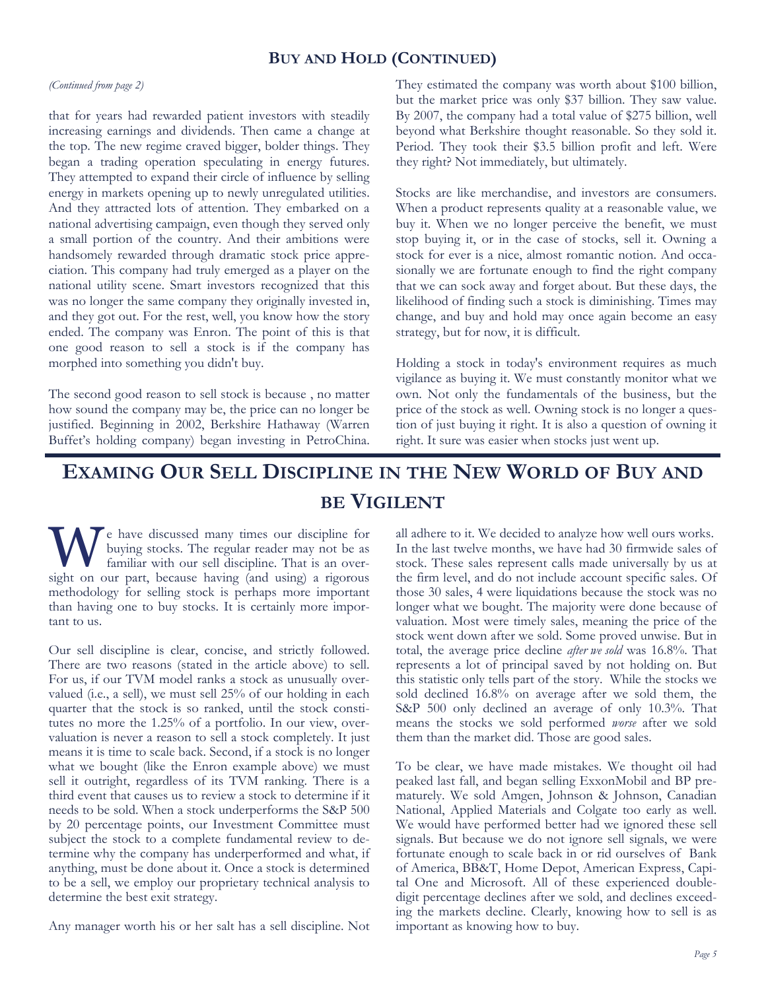### **BUY AND HOLD (CONTINUED)**

#### *(Continued from page 2)*

that for years had rewarded patient investors with steadily increasing earnings and dividends. Then came a change at the top. The new regime craved bigger, bolder things. They began a trading operation speculating in energy futures. They attempted to expand their circle of influence by selling energy in markets opening up to newly unregulated utilities. And they attracted lots of attention. They embarked on a national advertising campaign, even though they served only a small portion of the country. And their ambitions were handsomely rewarded through dramatic stock price appreciation. This company had truly emerged as a player on the national utility scene. Smart investors recognized that this was no longer the same company they originally invested in, and they got out. For the rest, well, you know how the story ended. The company was Enron. The point of this is that one good reason to sell a stock is if the company has morphed into something you didn't buy.

The second good reason to sell stock is because , no matter how sound the company may be, the price can no longer be justified. Beginning in 2002, Berkshire Hathaway (Warren Buffet's holding company) began investing in PetroChina.

They estimated the company was worth about \$100 billion, but the market price was only \$37 billion. They saw value. By 2007, the company had a total value of \$275 billion, well beyond what Berkshire thought reasonable. So they sold it. Period. They took their \$3.5 billion profit and left. Were they right? Not immediately, but ultimately.

Stocks are like merchandise, and investors are consumers. When a product represents quality at a reasonable value, we buy it. When we no longer perceive the benefit, we must stop buying it, or in the case of stocks, sell it. Owning a stock for ever is a nice, almost romantic notion. And occasionally we are fortunate enough to find the right company that we can sock away and forget about. But these days, the likelihood of finding such a stock is diminishing. Times may change, and buy and hold may once again become an easy strategy, but for now, it is difficult.

Holding a stock in today's environment requires as much vigilance as buying it. We must constantly monitor what we own. Not only the fundamentals of the business, but the price of the stock as well. Owning stock is no longer a question of just buying it right. It is also a question of owning it right. It sure was easier when stocks just went up.

# **EXAMING OUR SELL DISCIPLINE IN THE NEW WORLD OF BUY AND BE VIGILENT**

W e have discussed many times our discipline for buying stocks. The regular reader may not be as familiar with our sell discipline. That is an overbuying stocks. The regular reader may not be as sight on our part, because having (and using) a rigorous methodology for selling stock is perhaps more important than having one to buy stocks. It is certainly more important to us.

Our sell discipline is clear, concise, and strictly followed. There are two reasons (stated in the article above) to sell. For us, if our TVM model ranks a stock as unusually overvalued (i.e., a sell), we must sell 25% of our holding in each quarter that the stock is so ranked, until the stock constitutes no more the 1.25% of a portfolio. In our view, overvaluation is never a reason to sell a stock completely. It just means it is time to scale back. Second, if a stock is no longer what we bought (like the Enron example above) we must sell it outright, regardless of its TVM ranking. There is a third event that causes us to review a stock to determine if it needs to be sold. When a stock underperforms the S&P 500 by 20 percentage points, our Investment Committee must subject the stock to a complete fundamental review to determine why the company has underperformed and what, if anything, must be done about it. Once a stock is determined to be a sell, we employ our proprietary technical analysis to determine the best exit strategy.

Any manager worth his or her salt has a sell discipline. Not

all adhere to it. We decided to analyze how well ours works. In the last twelve months, we have had 30 firmwide sales of stock. These sales represent calls made universally by us at the firm level, and do not include account specific sales. Of those 30 sales, 4 were liquidations because the stock was no longer what we bought. The majority were done because of valuation. Most were timely sales, meaning the price of the stock went down after we sold. Some proved unwise. But in total, the average price decline *after we sold* was 16.8%. That represents a lot of principal saved by not holding on. But this statistic only tells part of the story. While the stocks we sold declined 16.8% on average after we sold them, the S&P 500 only declined an average of only 10.3%. That means the stocks we sold performed *worse* after we sold them than the market did. Those are good sales.

To be clear, we have made mistakes. We thought oil had peaked last fall, and began selling ExxonMobil and BP prematurely. We sold Amgen, Johnson & Johnson, Canadian National, Applied Materials and Colgate too early as well. We would have performed better had we ignored these sell signals. But because we do not ignore sell signals, we were fortunate enough to scale back in or rid ourselves of Bank of America, BB&T, Home Depot, American Express, Capital One and Microsoft. All of these experienced doubledigit percentage declines after we sold, and declines exceeding the markets decline. Clearly, knowing how to sell is as important as knowing how to buy.